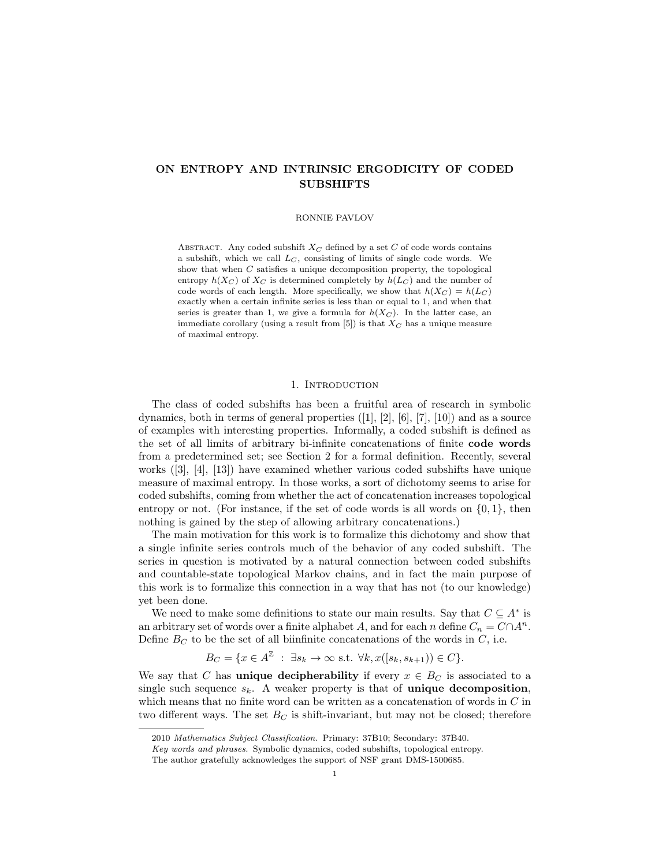# ON ENTROPY AND INTRINSIC ERGODICITY OF CODED SUBSHIFTS

#### RONNIE PAVLOV

ABSTRACT. Any coded subshift  $X_C$  defined by a set C of code words contains a subshift, which we call  $L_C$ , consisting of limits of single code words. We show that when C satisfies a unique decomposition property, the topological entropy  $h(X_C)$  of  $X_C$  is determined completely by  $h(L_C)$  and the number of code words of each length. More specifically, we show that  $h(X_C) = h(L_C)$ exactly when a certain infinite series is less than or equal to 1, and when that series is greater than 1, we give a formula for  $h(X_C)$ . In the latter case, an immediate corollary (using a result from  $[5]$ ) is that  $X_C$  has a unique measure of maximal entropy.

### 1. INTRODUCTION

The class of coded subshifts has been a fruitful area of research in symbolic dynamics, both in terms of general properties  $([1], [2], [6], [7], [10])$  and as a source of examples with interesting properties. Informally, a coded subshift is defined as the set of all limits of arbitrary bi-infinite concatenations of finite code words from a predetermined set; see Section 2 for a formal definition. Recently, several works  $([3], [4], [13])$  have examined whether various coded subshifts have unique measure of maximal entropy. In those works, a sort of dichotomy seems to arise for coded subshifts, coming from whether the act of concatenation increases topological entropy or not. (For instance, if the set of code words is all words on  $\{0,1\}$ , then nothing is gained by the step of allowing arbitrary concatenations.)

The main motivation for this work is to formalize this dichotomy and show that a single infinite series controls much of the behavior of any coded subshift. The series in question is motivated by a natural connection between coded subshifts and countable-state topological Markov chains, and in fact the main purpose of this work is to formalize this connection in a way that has not (to our knowledge) yet been done.

We need to make some definitions to state our main results. Say that  $C \subseteq A^*$  is an arbitrary set of words over a finite alphabet A, and for each n define  $C_n = C \cap A^n$ . Define  $B<sub>C</sub>$  to be the set of all biinfinite concatenations of the words in  $C$ , i.e.

$$
B_C = \{ x \in A^{\mathbb{Z}} \; : \; \exists s_k \to \infty \text{ s.t. } \forall k, x([s_k, s_{k+1})) \in C \}.
$$

We say that C has **unique decipherability** if every  $x \in B_C$  is associated to a single such sequence  $s_k$ . A weaker property is that of **unique decomposition**, which means that no finite word can be written as a concatenation of words in  $C$  in two different ways. The set  $B_C$  is shift-invariant, but may not be closed; therefore

<sup>2010</sup> Mathematics Subject Classification. Primary: 37B10; Secondary: 37B40.

Key words and phrases. Symbolic dynamics, coded subshifts, topological entropy.

The author gratefully acknowledges the support of NSF grant DMS-1500685.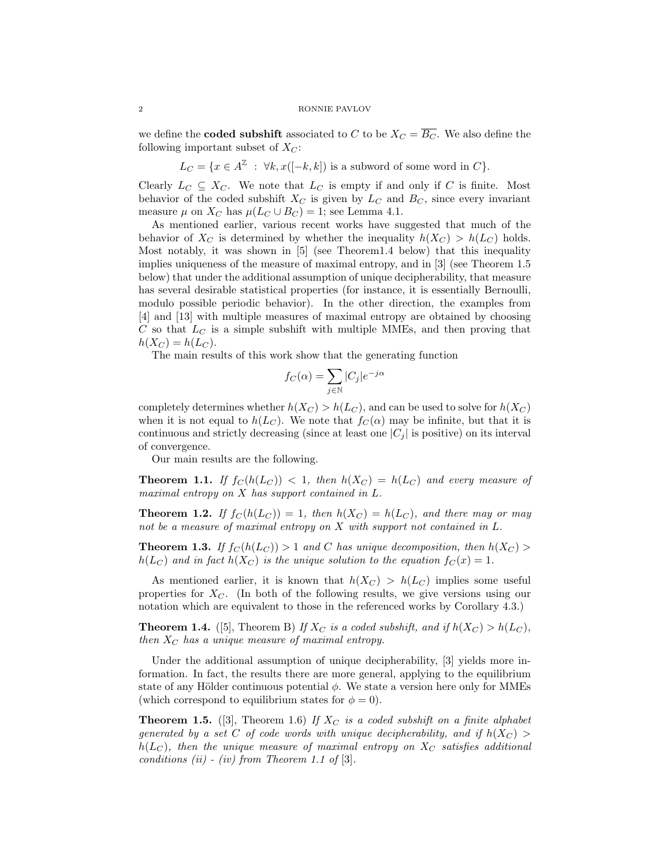#### 2 RONNIE PAVLOV

we define the **coded subshift** associated to C to be  $X_C = \overline{B_C}$ . We also define the following important subset of  $X_C$ :

 $L_C = \{x \in A^{\mathbb{Z}} : \forall k, x([-k,k]) \text{ is a subword of some word in } C\}.$ 

Clearly  $L_C \subseteq X_C$ . We note that  $L_C$  is empty if and only if C is finite. Most behavior of the coded subshift  $X_C$  is given by  $L_C$  and  $B_C$ , since every invariant measure  $\mu$  on  $X_C$  has  $\mu(L_C \cup B_C) = 1$ ; see Lemma 4.1.

As mentioned earlier, various recent works have suggested that much of the behavior of  $X_C$  is determined by whether the inequality  $h(X_C) > h(L_C)$  holds. Most notably, it was shown in [5] (see Theorem1.4 below) that this inequality implies uniqueness of the measure of maximal entropy, and in [3] (see Theorem 1.5 below) that under the additional assumption of unique decipherability, that measure has several desirable statistical properties (for instance, it is essentially Bernoulli, modulo possible periodic behavior). In the other direction, the examples from [4] and [13] with multiple measures of maximal entropy are obtained by choosing  $C$  so that  $L<sub>C</sub>$  is a simple subshift with multiple MMEs, and then proving that  $h(X_C) = h(L_C)$ .

The main results of this work show that the generating function

$$
f_C(\alpha) = \sum_{j \in \mathbb{N}} |C_j| e^{-j\alpha}
$$

completely determines whether  $h(X_C) > h(L_C)$ , and can be used to solve for  $h(X_C)$ when it is not equal to  $h(L_C)$ . We note that  $f_C(\alpha)$  may be infinite, but that it is continuous and strictly decreasing (since at least one  $|C_i|$  is positive) on its interval of convergence.

Our main results are the following.

**Theorem 1.1.** If  $f_C(h(L_C)) < 1$ , then  $h(X_C) = h(L_C)$  and every measure of maximal entropy on X has support contained in L.

**Theorem 1.2.** If  $f_C(h(L_C)) = 1$ , then  $h(X_C) = h(L_C)$ , and there may or may not be a measure of maximal entropy on X with support not contained in L.

**Theorem 1.3.** If  $f_C(h(L_C)) > 1$  and C has unique decomposition, then  $h(X_C) >$  $h(L_C)$  and in fact  $h(X_C)$  is the unique solution to the equation  $f_C(x) = 1$ .

As mentioned earlier, it is known that  $h(X_C) > h(L_C)$  implies some useful properties for  $X_C$ . (In both of the following results, we give versions using our notation which are equivalent to those in the referenced works by Corollary 4.3.)

**Theorem 1.4.** ([5], Theorem B) If  $X_C$  is a coded subshift, and if  $h(X_C) > h(L_C)$ , then  $X_C$  has a unique measure of maximal entropy.

Under the additional assumption of unique decipherability, [3] yields more information. In fact, the results there are more general, applying to the equilibrium state of any Hölder continuous potential  $\phi$ . We state a version here only for MMEs (which correspond to equilibrium states for  $\phi = 0$ ).

**Theorem 1.5.** ([3], Theorem 1.6) If  $X_C$  is a coded subshift on a finite alphabet generated by a set C of code words with unique decipherability, and if  $h(X_C)$  >  $h(L_C)$ , then the unique measure of maximal entropy on  $X_C$  satisfies additional conditions (ii) - (iv) from Theorem 1.1 of [3].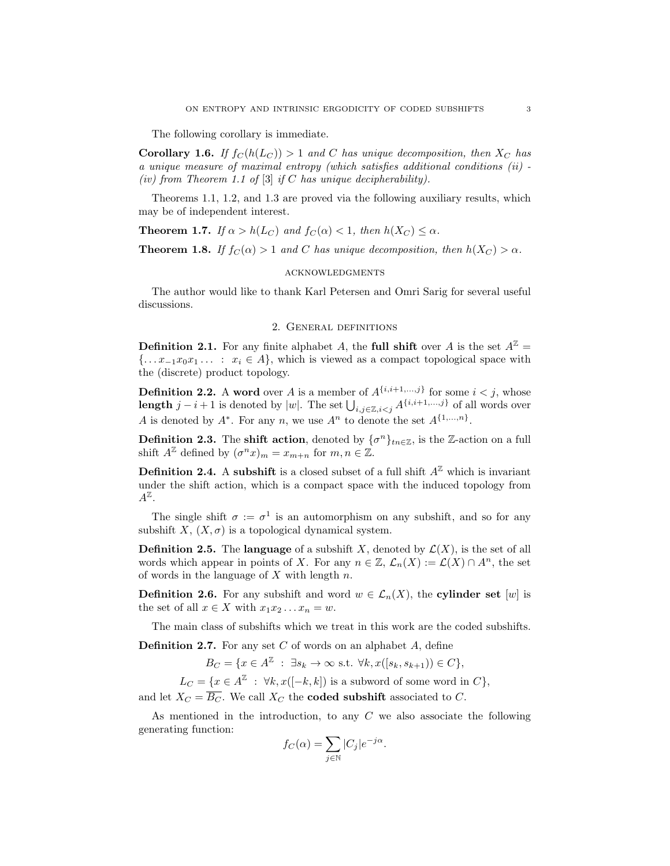The following corollary is immediate.

**Corollary 1.6.** If  $f_C(h(L_C)) > 1$  and C has unique decomposition, then  $X_C$  has a unique measure of maximal entropy (which satisfies additional conditions (ii) - (iv) from Theorem 1.1 of [3] if C has unique decipherability).

Theorems 1.1, 1.2, and 1.3 are proved via the following auxiliary results, which may be of independent interest.

**Theorem 1.7.** If  $\alpha > h(L_C)$  and  $f_C(\alpha) < 1$ , then  $h(X_C) \leq \alpha$ .

**Theorem 1.8.** If  $f_C(\alpha) > 1$  and C has unique decomposition, then  $h(X_C) > \alpha$ .

## acknowledgments

The author would like to thank Karl Petersen and Omri Sarig for several useful discussions.

## 2. General definitions

**Definition 2.1.** For any finite alphabet A, the **full shift** over A is the set  $A^{\mathbb{Z}} =$  ${\ldots} x_{-1}x_0x_1 \ldots : x_i \in A$ , which is viewed as a compact topological space with the (discrete) product topology.

**Definition 2.2.** A word over A is a member of  $A^{\{i,i+1,\ldots,j\}}$  for some  $i < j$ , whose length  $j-i+1$  is denoted by |w|. The set  $\bigcup_{i,j\in\mathbb{Z},i\leq j} A^{\{i,i+1,\ldots,j\}}$  of all words over A is denoted by  $A^*$ . For any n, we use  $A^n$  to denote the set  $A^{\{1,\ldots,n\}}$ .

**Definition 2.3.** The **shift action**, denoted by  $\{\sigma^n\}_{tn \in \mathbb{Z}}$ , is the Z-action on a full shift  $A^{\mathbb{Z}}$  defined by  $(\sigma^n x)_m = x_{m+n}$  for  $m, n \in \mathbb{Z}$ .

**Definition 2.4.** A subshift is a closed subset of a full shift  $A^{\mathbb{Z}}$  which is invariant under the shift action, which is a compact space with the induced topology from  $A^{\mathbb{Z}}$ .

The single shift  $\sigma := \sigma^1$  is an automorphism on any subshift, and so for any subshift X,  $(X, \sigma)$  is a topological dynamical system.

**Definition 2.5.** The language of a subshift X, denoted by  $\mathcal{L}(X)$ , is the set of all words which appear in points of X. For any  $n \in \mathbb{Z}$ ,  $\mathcal{L}_n(X) := \mathcal{L}(X) \cap A^n$ , the set of words in the language of  $X$  with length  $n$ .

**Definition 2.6.** For any subshift and word  $w \in \mathcal{L}_n(X)$ , the **cylinder set** [w] is the set of all  $x \in X$  with  $x_1x_2 \ldots x_n = w$ .

The main class of subshifts which we treat in this work are the coded subshifts.

**Definition 2.7.** For any set  $C$  of words on an alphabet  $A$ , define

 $B_C = \{x \in A^{\mathbb{Z}} \; : \; \exists s_k \to \infty \text{ s.t. } \forall k, x([s_k, s_{k+1})) \in C\},\$ 

 $L_C = \{x \in A^{\mathbb{Z}} : \forall k, x([-k, k]) \text{ is a subword of some word in } C\},\$ 

and let  $X_C = \overline{B_C}$ . We call  $X_C$  the **coded subshift** associated to C.

As mentioned in the introduction, to any  $C$  we also associate the following generating function:

$$
f_C(\alpha) = \sum_{j \in \mathbb{N}} |C_j| e^{-j\alpha}.
$$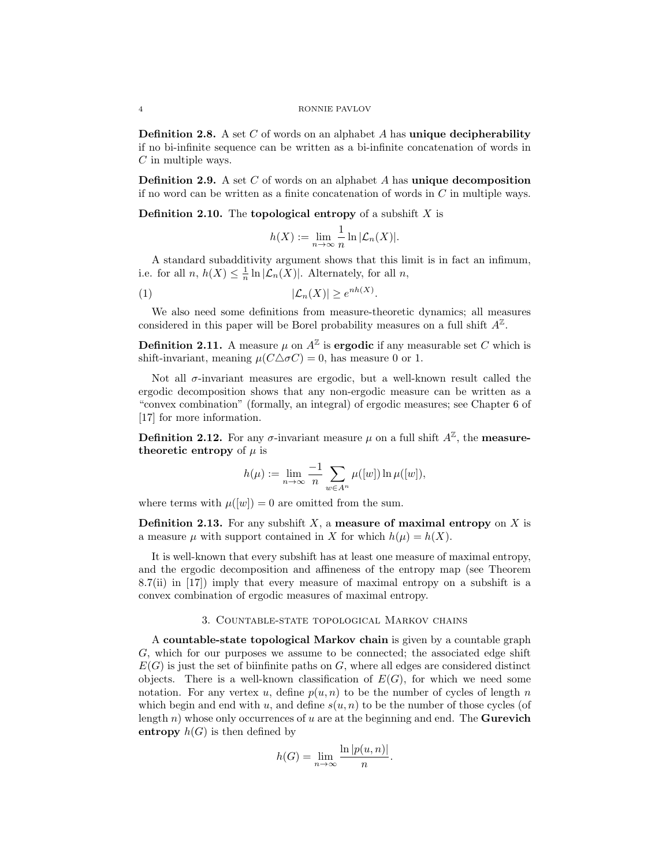**Definition 2.8.** A set C of words on an alphabet A has unique decipherability if no bi-infinite sequence can be written as a bi-infinite concatenation of words in  $C$  in multiple ways.

**Definition 2.9.** A set  $C$  of words on an alphabet  $A$  has unique decomposition if no word can be written as a finite concatenation of words in  $C$  in multiple ways.

**Definition 2.10.** The **topological entropy** of a subshift  $X$  is

$$
h(X) := \lim_{n \to \infty} \frac{1}{n} \ln |\mathcal{L}_n(X)|.
$$

A standard subadditivity argument shows that this limit is in fact an infimum, i.e. for all  $n, h(X) \leq \frac{1}{n} \ln |\mathcal{L}_n(X)|$ . Alternately, for all  $n$ ,

$$
|\mathcal{L}_n(X)| \ge e^{nh(X)}.
$$

We also need some definitions from measure-theoretic dynamics; all measures considered in this paper will be Borel probability measures on a full shift  $A^{\mathbb{Z}}$ .

**Definition 2.11.** A measure  $\mu$  on  $A^{\mathbb{Z}}$  is **ergodic** if any measurable set C which is shift-invariant, meaning  $\mu(C\Delta\sigma C) = 0$ , has measure 0 or 1.

Not all  $\sigma$ -invariant measures are ergodic, but a well-known result called the ergodic decomposition shows that any non-ergodic measure can be written as a "convex combination" (formally, an integral) of ergodic measures; see Chapter 6 of [17] for more information.

**Definition 2.12.** For any  $\sigma$ -invariant measure  $\mu$  on a full shift  $A^{\mathbb{Z}}$ , the **measure**theoretic entropy of  $\mu$  is

$$
h(\mu) := \lim_{n \to \infty} \frac{-1}{n} \sum_{w \in A^n} \mu([w]) \ln \mu([w]),
$$

where terms with  $\mu([w]) = 0$  are omitted from the sum.

**Definition 2.13.** For any subshift  $X$ , a measure of maximal entropy on  $X$  is a measure  $\mu$  with support contained in X for which  $h(\mu) = h(X)$ .

It is well-known that every subshift has at least one measure of maximal entropy, and the ergodic decomposition and affineness of the entropy map (see Theorem 8.7(ii) in [17]) imply that every measure of maximal entropy on a subshift is a convex combination of ergodic measures of maximal entropy.

### 3. Countable-state topological Markov chains

A countable-state topological Markov chain is given by a countable graph G, which for our purposes we assume to be connected; the associated edge shift  $E(G)$  is just the set of biinfinite paths on G, where all edges are considered distinct objects. There is a well-known classification of  $E(G)$ , for which we need some notation. For any vertex u, define  $p(u, n)$  to be the number of cycles of length n which begin and end with u, and define  $s(u, n)$  to be the number of those cycles (of length n) whose only occurrences of u are at the beginning and end. The **Gurevich** entropy  $h(G)$  is then defined by

$$
h(G) = \lim_{n \to \infty} \frac{\ln |p(u, n)|}{n}
$$

.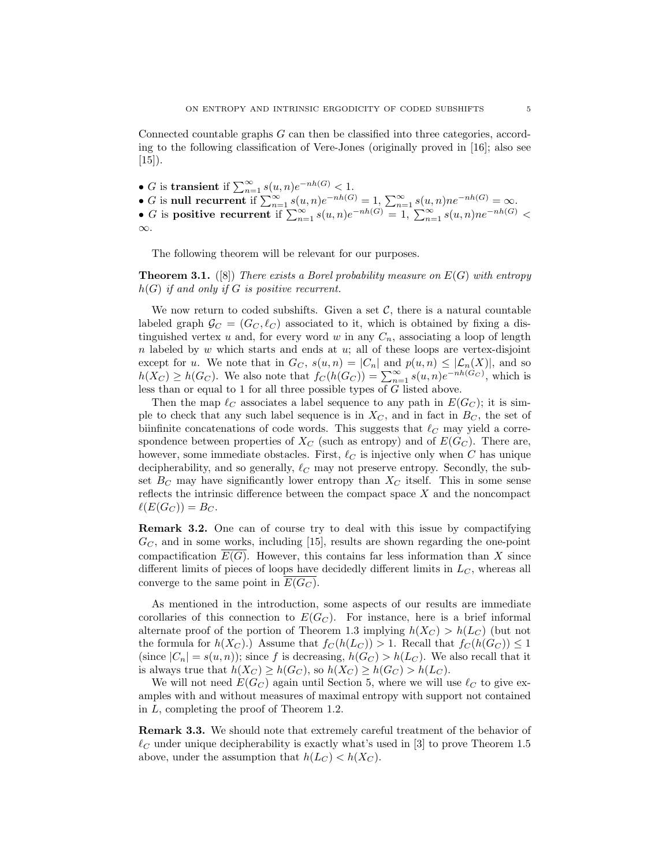Connected countable graphs G can then be classified into three categories, according to the following classification of Vere-Jones (originally proved in [16]; also see  $[15]$ ).

- *G* is transient if  $\sum_{n=1}^{\infty} s(u, n)e^{-nh(G)} < 1$ .
- G is null recurrent if  $\sum_{n=1}^{\infty} s(u, n)e^{-nh(G)} = 1$ ,  $\sum_{n=1}^{\infty} s(u, n)ne^{-nh(G)} = \infty$ .
- G is positive recurrent if  $\sum_{n=1}^{\infty} s(u, n)e^{-nh(G)} = 1$ ,  $\sum_{n=1}^{\infty} s(u, n)ne^{-nh(G)} <$ ∞.

The following theorem will be relevant for our purposes.

**Theorem 3.1.** ([8]) There exists a Borel probability measure on  $E(G)$  with entropy  $h(G)$  if and only if G is positive recurrent.

We now return to coded subshifts. Given a set  $\mathcal{C}$ , there is a natural countable labeled graph  $\mathcal{G}_C = (G_C, \ell_C)$  associated to it, which is obtained by fixing a distinguished vertex u and, for every word w in any  $C_n$ , associating a loop of length  $n$  labeled by  $w$  which starts and ends at  $u$ ; all of these loops are vertex-disjoint except for u. We note that in  $G_C$ ,  $s(u, n) = |C_n|$  and  $p(u, n) \leq |\mathcal{L}_n(X)|$ , and so  $h(X_C) \ge h(G_C)$ . We also note that  $f_C(h(G_C)) = \sum_{n=1}^{\infty} s(u, n) e^{-nh(G_C)}$ , which is less than or equal to 1 for all three possible types of G listed above.

Then the map  $\ell_C$  associates a label sequence to any path in  $E(G_C)$ ; it is simple to check that any such label sequence is in  $X_C$ , and in fact in  $B_C$ , the set of biinfinite concatenations of code words. This suggests that  $\ell_C$  may yield a correspondence between properties of  $X_C$  (such as entropy) and of  $E(G_C)$ . There are, however, some immediate obstacles. First,  $\ell_{\mathcal{C}}$  is injective only when C has unique decipherability, and so generally,  $\ell_C$  may not preserve entropy. Secondly, the subset  $B_C$  may have significantly lower entropy than  $X_C$  itself. This in some sense reflects the intrinsic difference between the compact space  $X$  and the noncompact  $\ell(E(G_C)) = B_C$ .

Remark 3.2. One can of course try to deal with this issue by compactifying  $G_C$ , and in some works, including [15], results are shown regarding the one-point compactification  $E(G)$ . However, this contains far less information than X since different limits of pieces of loops have decidedly different limits in  $L<sub>C</sub>$ , whereas all converge to the same point in  $E(G_C)$ .

As mentioned in the introduction, some aspects of our results are immediate corollaries of this connection to  $E(G_C)$ . For instance, here is a brief informal alternate proof of the portion of Theorem 1.3 implying  $h(X_C) > h(L_C)$  (but not the formula for  $h(X_C)$ .) Assume that  $f_C(h(L_C)) > 1$ . Recall that  $f_C(h(G_C)) \leq 1$ (since  $|C_n| = s(u, n)$ ); since f is decreasing,  $h(G_C) > h(L_C)$ . We also recall that it is always true that  $h(X_C) \ge h(G_C)$ , so  $h(X_C) \ge h(G_C) > h(L_C)$ .

We will not need  $E(G_C)$  again until Section 5, where we will use  $\ell_C$  to give examples with and without measures of maximal entropy with support not contained in L, completing the proof of Theorem 1.2.

Remark 3.3. We should note that extremely careful treatment of the behavior of  $\ell$ <sub>C</sub> under unique decipherability is exactly what's used in [3] to prove Theorem 1.5 above, under the assumption that  $h(L_C) < h(X_C)$ .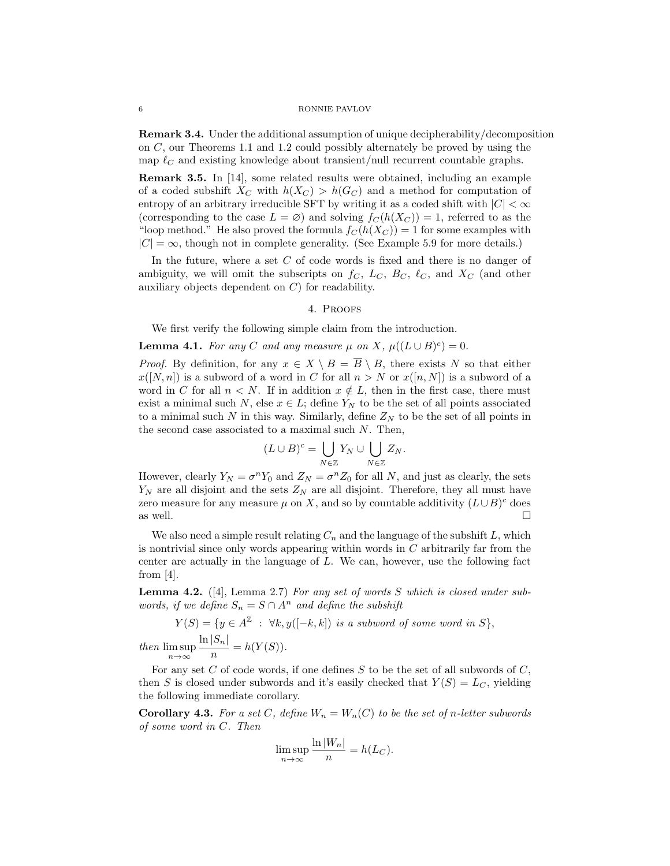Remark 3.4. Under the additional assumption of unique decipherability/decomposition on C, our Theorems 1.1 and 1.2 could possibly alternately be proved by using the map  $\ell<sub>C</sub>$  and existing knowledge about transient/null recurrent countable graphs.

Remark 3.5. In [14], some related results were obtained, including an example of a coded subshift  $X_C$  with  $h(X_C) > h(G_C)$  and a method for computation of entropy of an arbitrary irreducible SFT by writing it as a coded shift with  $|C| < \infty$ (corresponding to the case  $L = \emptyset$ ) and solving  $f_C(h(X_C)) = 1$ , referred to as the "loop method." He also proved the formula  $f_C(h(X_C)) = 1$  for some examples with  $|C| = \infty$ , though not in complete generality. (See Example 5.9 for more details.)

In the future, where a set  $C$  of code words is fixed and there is no danger of ambiguity, we will omit the subscripts on  $f_C$ ,  $L_C$ ,  $B_C$ ,  $\ell_C$ , and  $X_C$  (and other auxiliary objects dependent on C) for readability.

### 4. Proofs

We first verify the following simple claim from the introduction.

## **Lemma 4.1.** For any C and any measure  $\mu$  on X,  $\mu((L \cup B)^c) = 0$ .

*Proof.* By definition, for any  $x \in X \setminus B = \overline{B} \setminus B$ , there exists N so that either  $x([N,n])$  is a subword of a word in C for all  $n > N$  or  $x([n,N])$  is a subword of a word in C for all  $n < N$ . If in addition  $x \notin L$ , then in the first case, there must exist a minimal such N, else  $x \in L$ ; define  $Y_N$  to be the set of all points associated to a minimal such N in this way. Similarly, define  $Z_N$  to be the set of all points in the second case associated to a maximal such  $N$ . Then,

$$
(L\cup B)^c = \bigcup_{N\in\mathbb{Z}} Y_N \cup \bigcup_{N\in\mathbb{Z}} Z_N.
$$

However, clearly  $Y_N = \sigma^n Y_0$  and  $Z_N = \sigma^n Z_0$  for all N, and just as clearly, the sets  $Y_N$  are all disjoint and the sets  $Z_N$  are all disjoint. Therefore, they all must have zero measure for any measure  $\mu$  on X, and so by countable additivity  $(L \cup B)^c$  does as well.  $\square$ 

We also need a simple result relating  $C_n$  and the language of the subshift  $L$ , which is nontrivial since only words appearing within words in  $C$  arbitrarily far from the center are actually in the language of L. We can, however, use the following fact from [4].

**Lemma 4.2.** ([4], Lemma 2.7) For any set of words  $S$  which is closed under subwords, if we define  $S_n = S \cap A^n$  and define the subshift

$$
Y(S) = \{ y \in A^{\mathbb{Z}} : \forall k, y([-k,k]) \text{ is a subword of some word in } S \},
$$
  

$$
\max_{m \in \mathbb{Z}} \frac{\ln |S_n|}{|S_m|} = h(Y(S))
$$

then lim sup n→∞ n  $=$  =  $n(Y(S)).$ 

For any set C of code words, if one defines  $S$  to be the set of all subwords of  $C$ , then S is closed under subwords and it's easily checked that  $Y(S) = L_C$ , yielding the following immediate corollary.

**Corollary 4.3.** For a set C, define  $W_n = W_n(C)$  to be the set of n-letter subwords of some word in C. Then

ln |Wn|

$$
\limsup_{n \to \infty} \frac{\ln |W_n|}{n} = h(L_C).
$$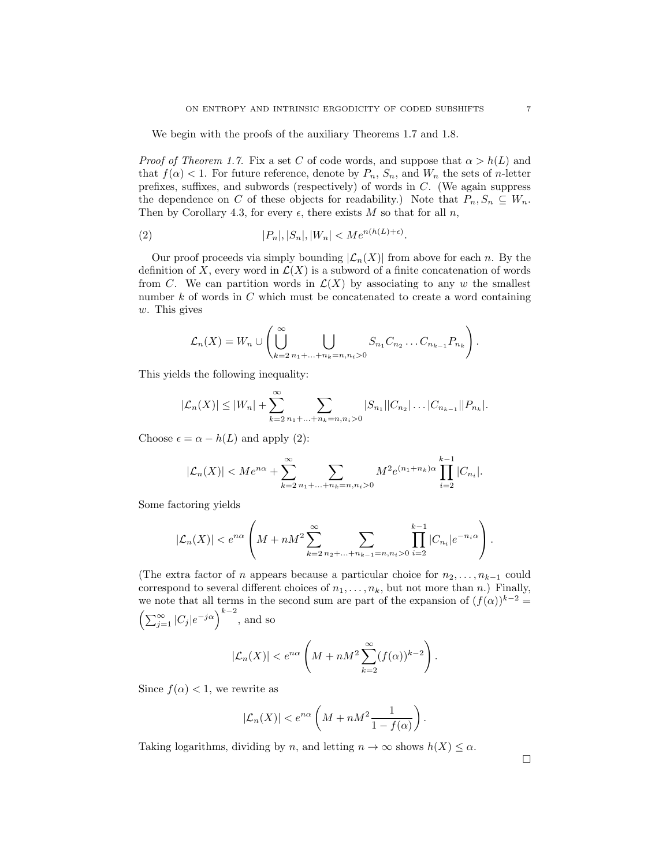We begin with the proofs of the auxiliary Theorems 1.7 and 1.8.

*Proof of Theorem 1.7.* Fix a set C of code words, and suppose that  $\alpha > h(L)$  and that  $f(\alpha) < 1$ . For future reference, denote by  $P_n$ ,  $S_n$ , and  $W_n$  the sets of *n*-letter prefixes, suffixes, and subwords (respectively) of words in C. (We again suppress the dependence on C of these objects for readability.) Note that  $P_n, S_n \subseteq W_n$ . Then by Corollary 4.3, for every  $\epsilon$ , there exists M so that for all n,

$$
(2) \t\t\t |P_n|, |S_n|, |W_n| < Me^{n(h(L)+\epsilon)}.
$$

Our proof proceeds via simply bounding  $|\mathcal{L}_n(X)|$  from above for each n. By the definition of X, every word in  $\mathcal{L}(X)$  is a subword of a finite concatenation of words from C. We can partition words in  $\mathcal{L}(X)$  by associating to any w the smallest number  $k$  of words in  $C$  which must be concatenated to create a word containing w. This gives

$$
\mathcal{L}_n(X) = W_n \cup \left( \bigcup_{k=2}^{\infty} \bigcup_{n_1 + \ldots + n_k = n, n_i > 0} S_{n_1} C_{n_2} \ldots C_{n_{k-1}} P_{n_k} \right).
$$

This yields the following inequality:

$$
|\mathcal{L}_n(X)| \leq |W_n| + \sum_{k=2}^{\infty} \sum_{n_1 + ... + n_k = n, n_i > 0} |S_{n_1}||C_{n_2}| \dots |C_{n_{k-1}}||P_{n_k}|.
$$

Choose  $\epsilon = \alpha - h(L)$  and apply (2):

$$
|\mathcal{L}_n(X)| < Me^{n\alpha} + \sum_{k=2}^{\infty} \sum_{n_1 + \dots + n_k = n, n_i > 0} M^2 e^{(n_1 + n_k)\alpha} \prod_{i=2}^{k-1} |C_{n_i}|.
$$

Some factoring yields

$$
|\mathcal{L}_n(X)| < e^{n\alpha} \left( M + nM^2 \sum_{k=2}^{\infty} \sum_{n_2 + \ldots + n_{k-1} = n, n_i > 0} \prod_{i=2}^{k-1} |C_{n_i}| e^{-n_i \alpha} \right).
$$

(The extra factor of n appears because a particular choice for  $n_2, \ldots, n_{k-1}$  could correspond to several different choices of  $n_1, \ldots, n_k$ , but not more than n.) Finally, we note that all terms in the second sum are part of the expansion of  $(f(\alpha))^{k-2}$  =  $\left(\sum_{j=1}^{\infty} |C_j|e^{-j\alpha}\right)^{k-2}$ , and so

$$
|\mathcal{L}_n(X)| < e^{n\alpha} \left( M + nM^2 \sum_{k=2}^{\infty} (f(\alpha))^{k-2} \right).
$$

Since  $f(\alpha) < 1$ , we rewrite as

$$
|\mathcal{L}_n(X)| < e^{n\alpha} \left( M + nM^2 \frac{1}{1 - f(\alpha)} \right).
$$

Taking logarithms, dividing by n, and letting  $n \to \infty$  shows  $h(X) \leq \alpha$ .

 $\Box$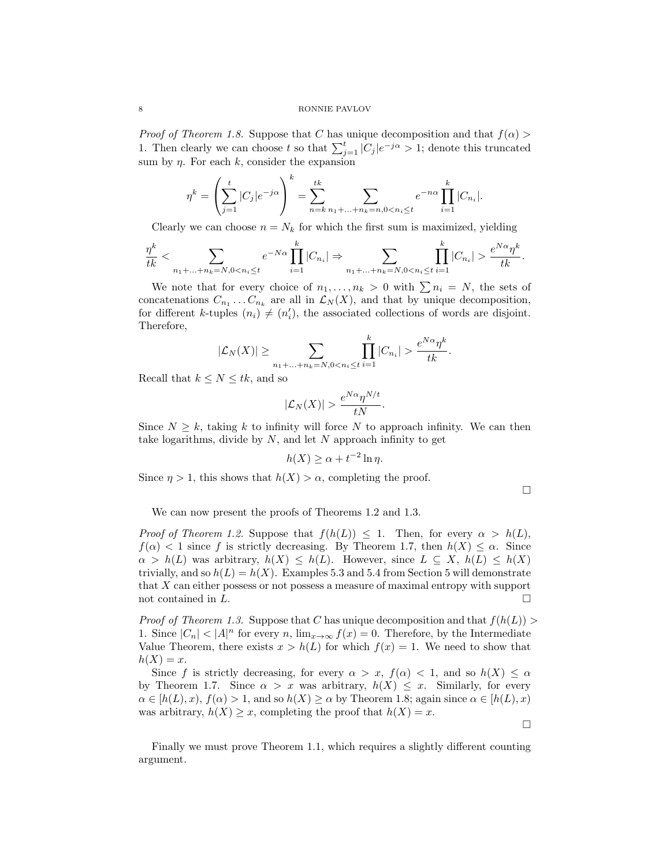### 8 RONNIE PAVLOV

*Proof of Theorem 1.8.* Suppose that C has unique decomposition and that  $f(\alpha)$ 1. Then clearly we can choose t so that  $\sum_{j=1}^{t} |C_j|e^{-j\alpha} > 1$ ; denote this truncated sum by  $\eta$ . For each k, consider the expansion

$$
\eta^k = \left(\sum_{j=1}^t |C_j| e^{-j\alpha}\right)^k = \sum_{n=k}^t \sum_{n_1 + \dots + n_k = n, 0 < n_i \le t} e^{-n\alpha} \prod_{i=1}^k |C_{n_i}|.
$$

Clearly we can choose  $n = N_k$  for which the first sum is maximized, yielding

$$
\frac{\eta^k}{tk} < \sum_{n_1+\ldots+n_k = N, 0 < n_i \leq t} e^{-N\alpha} \prod_{i=1}^k |C_{n_i}| \Rightarrow \sum_{n_1+\ldots+n_k = N, 0 < n_i \leq t} \prod_{i=1}^k |C_{n_i}| > \frac{e^{N\alpha} \eta^k}{tk}.
$$

We note that for every choice of  $n_1, \ldots, n_k > 0$  with  $\sum n_i = N$ , the sets of concatenations  $C_{n_1} \dots C_{n_k}$  are all in  $\mathcal{L}_N(X)$ , and that by unique decomposition, for different k-tuples  $(n_i) \neq (n'_i)$ , the associated collections of words are disjoint. Therefore,

$$
|\mathcal{L}_N(X)| \geq \sum_{n_1+\ldots+n_k=N, 0 < n_i \leq t} \prod_{i=1}^k |C_{n_i}| > \frac{e^{N\alpha} \eta^k}{tk}.
$$

Recall that  $k \leq N \leq tk$ , and so

$$
|\mathcal{L}_N(X)| > \frac{e^{N\alpha}\eta^{N/t}}{tN}.
$$

Since  $N \geq k$ , taking k to infinity will force N to approach infinity. We can then take logarithms, divide by  $N$ , and let  $N$  approach infinity to get

$$
h(X) \ge \alpha + t^{-2} \ln \eta.
$$

Since  $\eta > 1$ , this shows that  $h(X) > \alpha$ , completing the proof.

 $\Box$ 

We can now present the proofs of Theorems 1.2 and 1.3.

*Proof of Theorem 1.2.* Suppose that  $f(h(L)) \leq 1$ . Then, for every  $\alpha > h(L)$ ,  $f(\alpha) < 1$  since f is strictly decreasing. By Theorem 1.7, then  $h(X) \leq \alpha$ . Since  $\alpha > h(L)$  was arbitrary,  $h(X) \leq h(L)$ . However, since  $L \subseteq X$ ,  $h(L) \leq h(X)$ trivially, and so  $h(L) = h(X)$ . Examples 5.3 and 5.4 from Section 5 will demonstrate that X can either possess or not possess a measure of maximal entropy with support not contained in L.  $\Box$ 

*Proof of Theorem 1.3.* Suppose that C has unique decomposition and that  $f(h(L))$ 1. Since  $|C_n| < |A|^n$  for every n,  $\lim_{x\to\infty} f(x) = 0$ . Therefore, by the Intermediate Value Theorem, there exists  $x > h(L)$  for which  $f(x) = 1$ . We need to show that  $h(X) = x$ .

Since f is strictly decreasing, for every  $\alpha > x$ ,  $f(\alpha) < 1$ , and so  $h(X) \leq \alpha$ by Theorem 1.7. Since  $\alpha > x$  was arbitrary,  $h(X) \leq x$ . Similarly, for every  $\alpha \in [h(L), x), f(\alpha) > 1$ , and so  $h(X) \ge \alpha$  by Theorem 1.8; again since  $\alpha \in [h(L), x)$ was arbitrary,  $h(X) \geq x$ , completing the proof that  $h(X) = x$ .

 $\Box$ 

Finally we must prove Theorem 1.1, which requires a slightly different counting argument.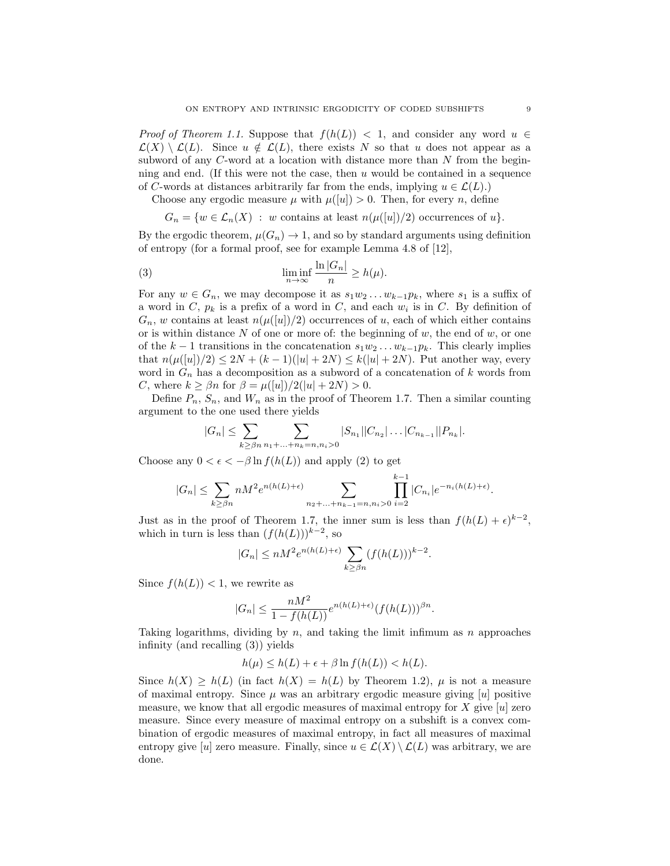*Proof of Theorem 1.1.* Suppose that  $f(h(L)) < 1$ , and consider any word  $u \in$  $\mathcal{L}(X) \setminus \mathcal{L}(L)$ . Since  $u \notin \mathcal{L}(L)$ , there exists N so that u does not appear as a subword of any C-word at a location with distance more than N from the beginning and end. (If this were not the case, then  $u$  would be contained in a sequence of C-words at distances arbitrarily far from the ends, implying  $u \in \mathcal{L}(L)$ .

Choose any ergodic measure  $\mu$  with  $\mu([u]) > 0$ . Then, for every n, define

$$
G_n = \{ w \in \mathcal{L}_n(X) : w \text{ contains at least } n(\mu([u])/2) \text{ occurrences of } u \}.
$$

By the ergodic theorem,  $\mu(G_n) \to 1$ , and so by standard arguments using definition of entropy (for a formal proof, see for example Lemma 4.8 of [12],

(3) 
$$
\liminf_{n \to \infty} \frac{\ln |G_n|}{n} \ge h(\mu).
$$

For any  $w \in G_n$ , we may decompose it as  $s_1w_2 \ldots w_{k-1}p_k$ , where  $s_1$  is a suffix of a word in C,  $p_k$  is a prefix of a word in C, and each  $w_i$  is in C. By definition of  $G_n$ , w contains at least  $n(\mu([u])/2)$  occurrences of u, each of which either contains or is within distance  $N$  of one or more of: the beginning of  $w$ , the end of  $w$ , or one of the  $k-1$  transitions in the concatenation  $s_1w_2 \ldots w_{k-1}p_k$ . This clearly implies that  $n(\mu([u])/2) \leq 2N + (k-1)(|u| + 2N) \leq k(|u| + 2N)$ . Put another way, every word in  $G_n$  has a decomposition as a subword of a concatenation of k words from C, where  $k \geq \beta n$  for  $\beta = \mu([u])/2(|u| + 2N) > 0$ .

Define  $P_n$ ,  $S_n$ , and  $W_n$  as in the proof of Theorem 1.7. Then a similar counting argument to the one used there yields

$$
|G_n| \leq \sum_{k \geq \beta n} \sum_{n_1 + ... + n_k = n, n_i > 0} |S_{n_1}| |C_{n_2}| \dots |C_{n_{k-1}}| |P_{n_k}|.
$$

Choose any  $0 < \epsilon < -\beta \ln f(h(L))$  and apply (2) to get

$$
|G_n| \leq \sum_{k \geq \beta n} n M^2 e^{n(h(L)+\epsilon)} \sum_{n_2 + \dots + n_{k-1} = n, n_i > 0} \prod_{i=2}^{k-1} |C_{n_i}| e^{-n_i(h(L)+\epsilon)}.
$$

Just as in the proof of Theorem 1.7, the inner sum is less than  $f(h(L) + \epsilon)^{k-2}$ , which in turn is less than  $(f(h(L)))^{k-2}$ , so

$$
|G_n| \le nM^2 e^{n(h(L)+\epsilon)} \sum_{k \ge \beta n} (f(h(L)))^{k-2}.
$$

Since  $f(h(L)) < 1$ , we rewrite as

$$
|G_n| \le \frac{nM^2}{1 - f(h(L))} e^{n(h(L) + \epsilon)} (f(h(L)))^{\beta n}.
$$

Taking logarithms, dividing by  $n$ , and taking the limit infimum as  $n$  approaches infinity (and recalling (3)) yields

$$
h(\mu) \le h(L) + \epsilon + \beta \ln f(h(L)) < h(L).
$$

Since  $h(X) > h(L)$  (in fact  $h(X) = h(L)$  by Theorem 1.2),  $\mu$  is not a measure of maximal entropy. Since  $\mu$  was an arbitrary ergodic measure giving  $[u]$  positive measure, we know that all ergodic measures of maximal entropy for X give  $|u|$  zero measure. Since every measure of maximal entropy on a subshift is a convex combination of ergodic measures of maximal entropy, in fact all measures of maximal entropy give [u] zero measure. Finally, since  $u \in \mathcal{L}(X) \setminus \mathcal{L}(L)$  was arbitrary, we are done.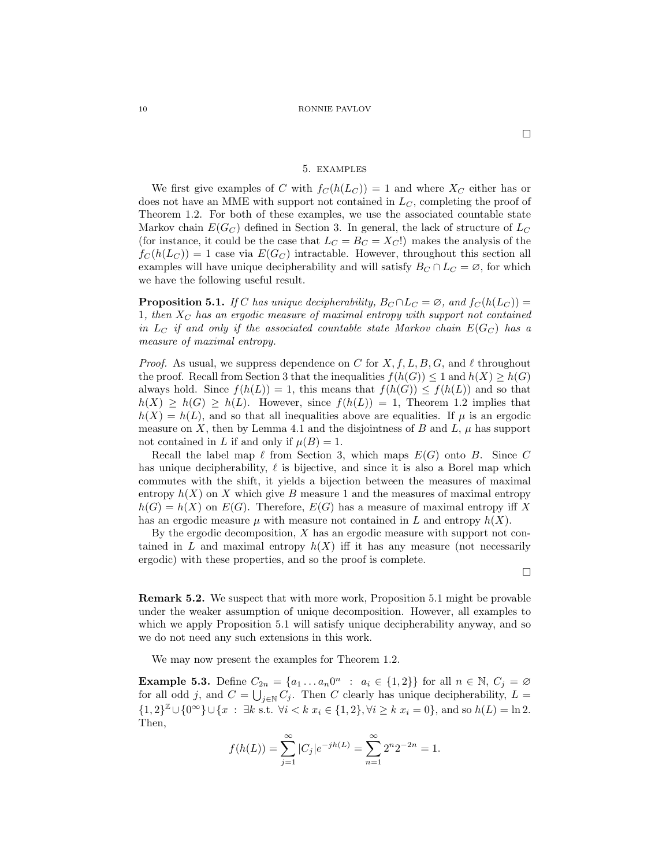### 5. examples

We first give examples of C with  $f_C(h(L_C)) = 1$  and where  $X_C$  either has or does not have an MME with support not contained in  $L<sub>C</sub>$ , completing the proof of Theorem 1.2. For both of these examples, we use the associated countable state Markov chain  $E(G_C)$  defined in Section 3. In general, the lack of structure of  $L_C$ (for instance, it could be the case that  $L_C = B_C = X_C!$ ) makes the analysis of the  $f_C(h(L_C)) = 1$  case via  $E(G_C)$  intractable. However, throughout this section all examples will have unique decipherability and will satisfy  $B_C \cap L_C = \emptyset$ , for which we have the following useful result.

**Proposition 5.1.** If C has unique decipherability,  $B_C \cap L_C = \emptyset$ , and  $f_C(h(L_C)) =$ 1, then  $X_C$  has an ergodic measure of maximal entropy with support not contained in  $L_C$  if and only if the associated countable state Markov chain  $E(G_C)$  has a measure of maximal entropy.

*Proof.* As usual, we suppress dependence on C for X, f, L, B, G, and  $\ell$  throughout the proof. Recall from Section 3 that the inequalities  $f(h(G)) \leq 1$  and  $h(X) \geq h(G)$ always hold. Since  $f(h(L)) = 1$ , this means that  $f(h(G)) \leq f(h(L))$  and so that  $h(X) \geq h(G) \geq h(L)$ . However, since  $f(h(L)) = 1$ , Theorem 1.2 implies that  $h(X) = h(L)$ , and so that all inequalities above are equalities. If  $\mu$  is an ergodic measure on X, then by Lemma 4.1 and the disjointness of B and L,  $\mu$  has support not contained in L if and only if  $\mu(B) = 1$ .

Recall the label map  $\ell$  from Section 3, which maps  $E(G)$  onto B. Since C has unique decipherability,  $\ell$  is bijective, and since it is also a Borel map which commutes with the shift, it yields a bijection between the measures of maximal entropy  $h(X)$  on X which give B measure 1 and the measures of maximal entropy  $h(G) = h(X)$  on  $E(G)$ . Therefore,  $E(G)$  has a measure of maximal entropy iff X has an ergodic measure  $\mu$  with measure not contained in L and entropy  $h(X)$ .

By the ergodic decomposition,  $X$  has an ergodic measure with support not contained in L and maximal entropy  $h(X)$  iff it has any measure (not necessarily ergodic) with these properties, and so the proof is complete.

 $\Box$ 

Remark 5.2. We suspect that with more work, Proposition 5.1 might be provable under the weaker assumption of unique decomposition. However, all examples to which we apply Proposition 5.1 will satisfy unique decipherability anyway, and so we do not need any such extensions in this work.

We may now present the examples for Theorem 1.2.

**Example 5.3.** Define  $C_{2n} = \{a_1 \dots a_n 0^n : a_i \in \{1,2\}\}\$ for all  $n \in \mathbb{N}, C_j = \emptyset$ for all odd j, and  $C = \bigcup_{j \in \mathbb{N}} C_j$ . Then C clearly has unique decipherability,  $L =$  $\{1,2\}^{\mathbb{Z}}\cup\{0^{\infty}\}\cup\{x : \exists k \text{ s.t. } \forall i < k \ x_i \in \{1,2\}, \forall i \geq k \ x_i = 0\},\text{ and so } h(L) = \ln 2.$ Then,

$$
f(h(L)) = \sum_{j=1}^{\infty} |C_j| e^{-jh(L)} = \sum_{n=1}^{\infty} 2^n 2^{-2n} = 1.
$$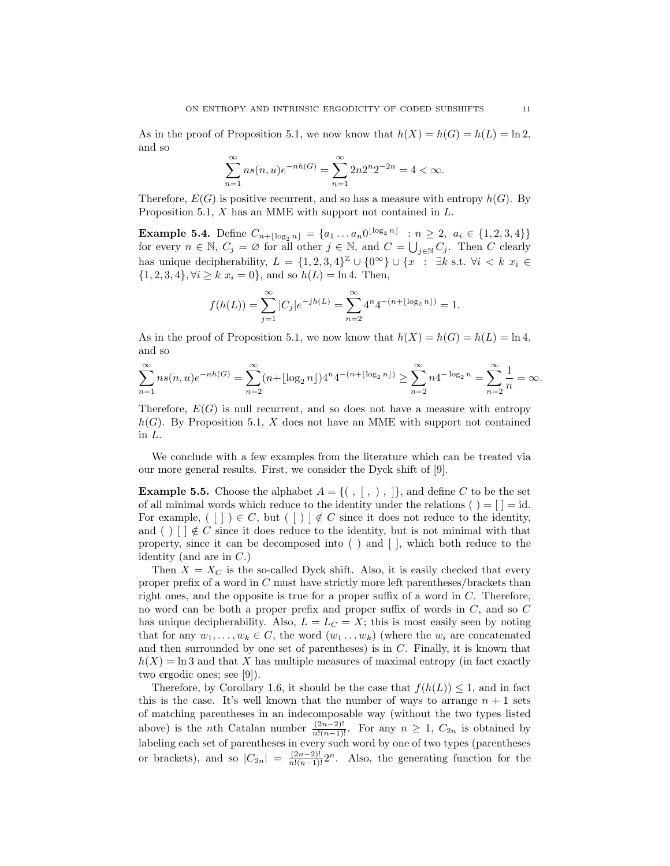As in the proof of Proposition 5.1, we now know that  $h(X) = h(G) = h(L) = \ln 2$ , and so

$$
\sum_{n=1}^{\infty} ns(n, u)e^{-nh(G)} = \sum_{n=1}^{\infty} 2n2^{n}2^{-2n} = 4 < \infty.
$$

Therefore,  $E(G)$  is positive recurrent, and so has a measure with entropy  $h(G)$ . By Proposition 5.1, X has an MME with support not contained in L.

**Example 5.4.** Define  $C_{n+\lfloor \log_2 n \rfloor} = \{a_1 \dots a_n 0^{\lfloor \log_2 n \rfloor} : n \geq 2, a_i \in \{1, 2, 3, 4\}\}\$ for every  $n \in \mathbb{N}$ ,  $C_j = \emptyset$  for all other  $j \in \mathbb{N}$ , and  $C = \bigcup_{j \in \mathbb{N}} C_j$ . Then C clearly has unique decipherability,  $L = \{1, 2, 3, 4\}^{\mathbb{Z}} \cup \{0^{\infty}\} \cup \{x : \exists k \text{ s.t. } \forall i \leq k \ x_i \in$  $\{1, 2, 3, 4\}, \forall i \geq k \ x_i = 0\}, \text{ and so } h(L) = \ln 4. \text{ Then, }$ 

$$
f(h(L)) = \sum_{j=1}^{\infty} |C_j| e^{-jh(L)} = \sum_{n=2}^{\infty} 4^n 4^{-(n + \lfloor \log_2 n \rfloor)} = 1.
$$

As in the proof of Proposition 5.1, we now know that  $h(X) = h(G) = h(L) = \ln 4$ , and so

$$
\sum_{n=1}^{\infty} ns(n,u)e^{-nh(G)} = \sum_{n=2}^{\infty} (n+\lfloor \log_2 n \rfloor)4^n 4^{-(n+\lfloor \log_2 n \rfloor)} \ge \sum_{n=2}^{\infty} n 4^{-\log_2 n} = \sum_{n=2}^{\infty} \frac{1}{n} = \infty.
$$

Therefore,  $E(G)$  is null recurrent, and so does not have a measure with entropy  $h(G)$ . By Proposition 5.1, X does not have an MME with support not contained in L.

We conclude with a few examples from the literature which can be treated via our more general results. First, we consider the Dyck shift of [9].

**Example 5.5.** Choose the alphabet  $A = \{ ( , [ , ) , ] \}$ , and define C to be the set of all minimal words which reduce to the identity under the relations ( $) = |$  = id. For example, ([])  $\in C$ , but ([)]  $\notin C$  since it does not reduce to the identity, and ( )  $\lceil \cdot \rceil \notin C$  since it does reduce to the identity, but is not minimal with that property, since it can be decomposed into ( ) and [ ], which both reduce to the identity (and are in  $C$ .)

Then  $X = X_C$  is the so-called Dyck shift. Also, it is easily checked that every proper prefix of a word in C must have strictly more left parentheses/brackets than right ones, and the opposite is true for a proper suffix of a word in C. Therefore, no word can be both a proper prefix and proper suffix of words in C, and so C has unique decipherability. Also,  $L = L<sub>C</sub> = X$ ; this is most easily seen by noting that for any  $w_1, \ldots, w_k \in C$ , the word  $(w_1 \ldots w_k)$  (where the  $w_i$  are concatenated and then surrounded by one set of parentheses) is in C. Finally, it is known that  $h(X) = \ln 3$  and that X has multiple measures of maximal entropy (in fact exactly two ergodic ones; see [9]).

Therefore, by Corollary 1.6, it should be the case that  $f(h(L)) \leq 1$ , and in fact this is the case. It's well known that the number of ways to arrange  $n + 1$  sets of matching parentheses in an indecomposable way (without the two types listed above) is the *n*th Catalan number  $\frac{(2n-2)!}{n!(n-1)!}$ . For any  $n \geq 1$ ,  $C_{2n}$  is obtained by labeling each set of parentheses in every such word by one of two types (parentheses or brackets), and so  $|C_{2n}| = \frac{(2n-2)!}{n!(n-1)!}2^n$ . Also, the generating function for the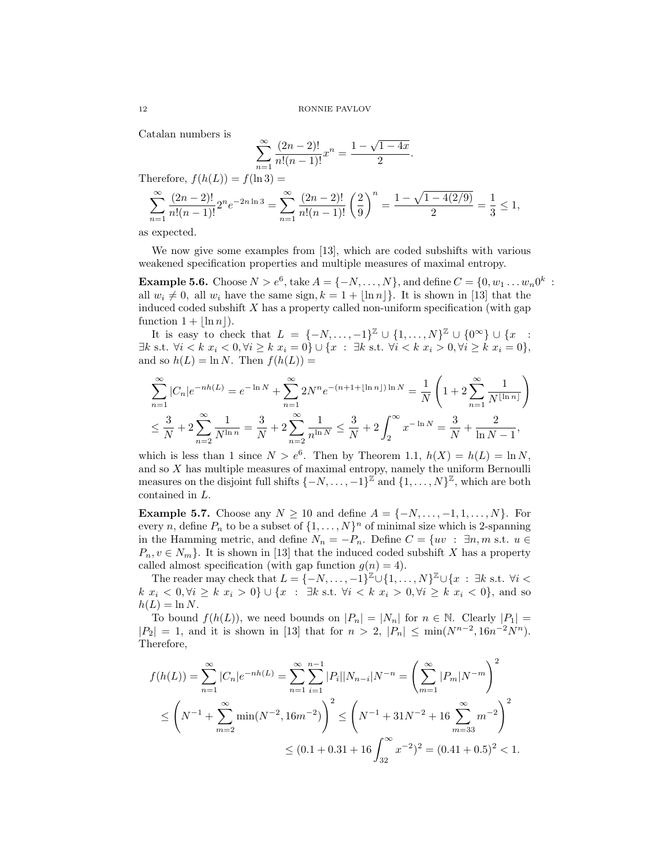Catalan numbers is

$$
\sum_{n=1}^{\infty} \frac{(2n-2)!}{n!(n-1)!} x^n = \frac{1 - \sqrt{1 - 4x}}{2}.
$$
  
(L)) =  $f(\ln 3) =$ 

$$
\sum_{n=1}^{\infty} \frac{(2n-2)!}{n!(n-1)!} 2^n e^{-2n \ln 3} = \sum_{n=1}^{\infty} \frac{(2n-2)!}{n!(n-1)!} \left(\frac{2}{9}\right)^n = \frac{1 - \sqrt{1 - 4(2/9)}}{2} = \frac{1}{3} \le 1,
$$

as expected.

Therefore,  $f(h)$ 

We now give some examples from [13], which are coded subshifts with various weakened specification properties and multiple measures of maximal entropy.

**Example 5.6.** Choose  $N > e^6$ , take  $A = \{-N, ..., N\}$ , and define  $C = \{0, w_1 ... w_n 0^k$ : all  $w_i \neq 0$ , all  $w_i$  have the same sign,  $k = 1 + |\ln n|$ . It is shown in [13] that the induced coded subshift  $X$  has a property called non-uniform specification (with gap function  $1 + |\ln n|$ .

It is easy to check that  $L = \{-N, \ldots, -1\}^{\mathbb{Z}} \cup \{1, \ldots, N\}^{\mathbb{Z}} \cup \{0^{\infty}\} \cup \{x$ :  $\exists k \text{ s.t. } \forall i < k \ x_i < 0, \forall i \geq k \ x_i = 0 \} \cup \{x : \exists k \text{ s.t. } \forall i < k \ x_i > 0, \forall i \geq k \ x_i = 0 \},$ and so  $h(L) = \ln N$ . Then  $f(h(L)) =$ 

$$
\sum_{n=1}^{\infty} |C_n| e^{-nh(L)} = e^{-\ln N} + \sum_{n=1}^{\infty} 2N^n e^{-(n+1 + \lfloor \ln n \rfloor) \ln N} = \frac{1}{N} \left( 1 + 2 \sum_{n=1}^{\infty} \frac{1}{N^{\lfloor \ln n \rfloor}} \right)
$$
  

$$
\leq \frac{3}{N} + 2 \sum_{n=2}^{\infty} \frac{1}{N^{\ln n}} = \frac{3}{N} + 2 \sum_{n=2}^{\infty} \frac{1}{n^{\ln N}} \leq \frac{3}{N} + 2 \int_{2}^{\infty} x^{-\ln N} = \frac{3}{N} + \frac{2}{\ln N - 1},
$$

which is less than 1 since  $N > e^6$ . Then by Theorem 1.1,  $h(X) = h(L) = \ln N$ , and so  $X$  has multiple measures of maximal entropy, namely the uniform Bernoulli measures on the disjoint full shifts  $\{-N, \ldots, -1\}^{\mathbb{Z}}$  and  $\{1, \ldots, N\}^{\mathbb{Z}}$ , which are both contained in L.

Example 5.7. Choose any  $N \geq 10$  and define  $A = \{-N, \ldots, -1, 1, \ldots, N\}$ . For every n, define  $P_n$  to be a subset of  $\{1, \ldots, N\}^n$  of minimal size which is 2-spanning in the Hamming metric, and define  $N_n = -P_n$ . Define  $C = \{uv : \exists n, m \text{ s.t. } u \in$  $P_n, v \in N_m$ . It is shown in [13] that the induced coded subshift X has a property called almost specification (with gap function  $g(n) = 4$ ).

The reader may check that  $L = \{-N, \ldots, -1\}^{\mathbb{Z}} \cup \{1, \ldots, N\}^{\mathbb{Z}} \cup \{x : \exists k \text{ s.t. } \forall i < k \}$  $k \ x_i < 0, \forall i \geq k \ x_i > 0$ }  $\cup \{x : \exists k \text{ s.t. } \forall i < k \ x_i > 0, \forall i \geq k \ x_i < 0\}$ , and so  $h(L) = \ln N$ .

To bound  $f(h(L))$ , we need bounds on  $|P_n| = |N_n|$  for  $n \in \mathbb{N}$ . Clearly  $|P_1|$  =  $|P_2| = 1$ , and it is shown in [13] that for  $n > 2$ ,  $|P_n| \le \min(N^{n-2}, 16n^{-2}N^n)$ . Therefore,

$$
f(h(L)) = \sum_{n=1}^{\infty} |C_n| e^{-nh(L)} = \sum_{n=1}^{\infty} \sum_{i=1}^{n-1} |P_i| |N_{n-i}| N^{-n} = \left(\sum_{m=1}^{\infty} |P_m| N^{-m}\right)^2
$$
  

$$
\leq \left(N^{-1} + \sum_{m=2}^{\infty} \min(N^{-2}, 16m^{-2})\right)^2 \leq \left(N^{-1} + 31N^{-2} + 16 \sum_{m=33}^{\infty} m^{-2}\right)^2
$$
  

$$
\leq (0.1 + 0.31 + 16 \int_{32}^{\infty} x^{-2} \, dx^{2} = (0.41 + 0.5)^{2} < 1.
$$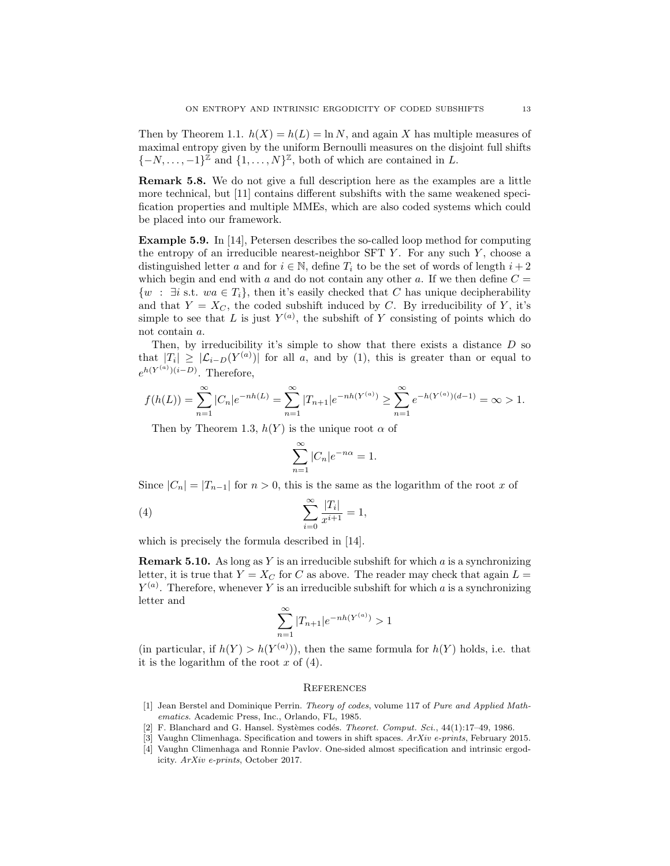Then by Theorem 1.1.  $h(X) = h(L) = \ln N$ , and again X has multiple measures of maximal entropy given by the uniform Bernoulli measures on the disjoint full shifts  $\{-N,\ldots,-1\}^{\mathbb{Z}}$  and  $\{1,\ldots,N\}^{\mathbb{Z}}$ , both of which are contained in L.

Remark 5.8. We do not give a full description here as the examples are a little more technical, but [11] contains different subshifts with the same weakened specification properties and multiple MMEs, which are also coded systems which could be placed into our framework.

Example 5.9. In [14], Petersen describes the so-called loop method for computing the entropy of an irreducible nearest-neighbor  $SFT Y$ . For any such  $Y$ , choose a distinguished letter a and for  $i \in \mathbb{N}$ , define  $T_i$  to be the set of words of length  $i + 2$ which begin and end with a and do not contain any other a. If we then define  $C =$  $\{w : \exists i \text{ s.t. } wa \in T_i\},\$  then it's easily checked that C has unique decipherability and that  $Y = X_C$ , the coded subshift induced by C. By irreducibility of Y, it's simple to see that L is just  $Y^{(a)}$ , the subshift of Y consisting of points which do not contain a.

Then, by irreducibility it's simple to show that there exists a distance  $D$  so that  $|T_i| \geq |\mathcal{L}_{i-D}(Y^{(a)})|$  for all a, and by (1), this is greater than or equal to  $e^{h(Y^{(a)})(i-D)}$ . Therefore,

$$
f(h(L)) = \sum_{n=1}^{\infty} |C_n| e^{-nh(L)} = \sum_{n=1}^{\infty} |T_{n+1}| e^{-nh(Y^{(a)})} \ge \sum_{n=1}^{\infty} e^{-h(Y^{(a)})(d-1)} = \infty > 1.
$$

Then by Theorem 1.3,  $h(Y)$  is the unique root  $\alpha$  of

$$
\sum_{n=1}^{\infty} |C_n| e^{-n\alpha} = 1.
$$

Since  $|C_n| = |T_{n-1}|$  for  $n > 0$ , this is the same as the logarithm of the root x of

(4) 
$$
\sum_{i=0}^{\infty} \frac{|T_i|}{x^{i+1}} = 1,
$$

which is precisely the formula described in [14].

**Remark 5.10.** As long as Y is an irreducible subshift for which  $\alpha$  is a synchronizing letter, it is true that  $Y = X_C$  for C as above. The reader may check that again  $L =$  $Y^{(a)}$ . Therefore, whenever Y is an irreducible subshift for which a is a synchronizing letter and

$$
\sum_{n=1}^{\infty} |T_{n+1}| e^{-nh(Y^{(a)})} > 1
$$

(in particular, if  $h(Y) > h(Y^{(a)})$ ), then the same formula for  $h(Y)$  holds, i.e. that it is the logarithm of the root  $x$  of  $(4)$ .

### **REFERENCES**

- [1] Jean Berstel and Dominique Perrin. Theory of codes, volume 117 of Pure and Applied Mathematics. Academic Press, Inc., Orlando, FL, 1985.
- [2] F. Blanchard and G. Hansel. Systèmes codés. Theoret. Comput. Sci.,  $44(1):17-49$ , 1986.
- [3] Vaughn Climenhaga. Specification and towers in shift spaces.  $ArXiv$  e-prints, February 2015.
- [4] Vaughn Climenhaga and Ronnie Pavlov. One-sided almost specification and intrinsic ergodicity. ArXiv e-prints, October 2017.